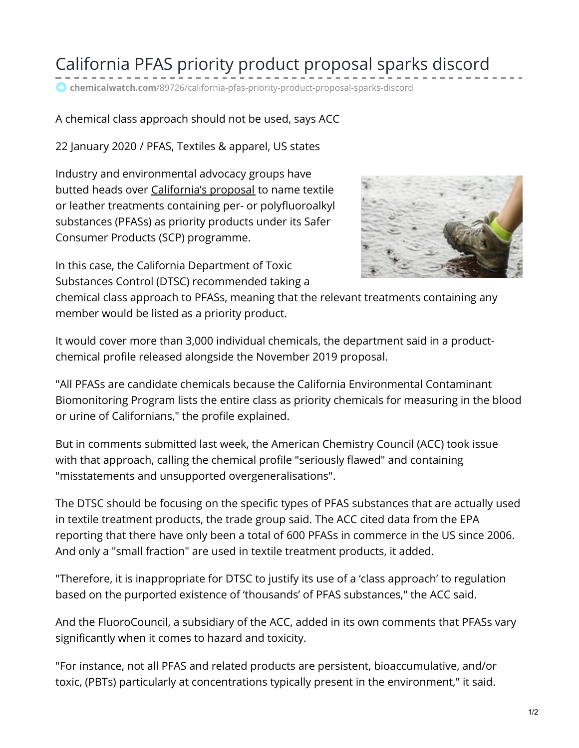## California PFAS priority product proposal sparks discord

**chemicalwatch.com**[/89726/california-pfas-priority-product-proposal-sparks-discord](https://chemicalwatch.com/89726/california-pfas-priority-product-proposal-sparks-discord#overlay-strip)

## A chemical class approach should not be used, says ACC

22 January 2020 / PFAS, Textiles & apparel, US states

Industry and environmental advocacy groups have butted heads over [California's](https://chemicalwatch.com/84422/california-proposes-priority-product-listing-for-pfas-containing-textile-treatments) proposal to name textile or leather treatments containing per- or polyfluoroalkyl substances (PFASs) as priority products under its Safer Consumer Products (SCP) programme.

In this case, the California Department of Toxic Substances Control (DTSC) recommended taking a



chemical class approach to PFASs, meaning that the relevant treatments containing any member would be listed as a priority product.

It would cover more than 3,000 individual chemicals, the department said in a productchemical profile released alongside the November 2019 proposal.

"All PFASs are candidate chemicals because the California Environmental Contaminant Biomonitoring Program lists the entire class as priority chemicals for measuring in the blood or urine of Californians," the profile explained.

But in comments submitted last week, the American Chemistry Council (ACC) took issue with that approach, calling the chemical profile "seriously flawed" and containing "misstatements and unsupported overgeneralisations".

The DTSC should be focusing on the specific types of PFAS substances that are actually used in textile treatment products, the trade group said. The ACC cited data from the EPA reporting that there have only been a total of 600 PFASs in commerce in the US since 2006. And only a "small fraction" are used in textile treatment products, it added.

"Therefore, it is inappropriate for DTSC to justify its use of a 'class approach' to regulation based on the purported existence of 'thousands' of PFAS substances," the ACC said.

And the FluoroCouncil, a subsidiary of the ACC, added in its own comments that PFASs vary significantly when it comes to hazard and toxicity.

"For instance, not all PFAS and related products are persistent, bioaccumulative, and/or toxic, (PBTs) particularly at concentrations typically present in the environment," it said.